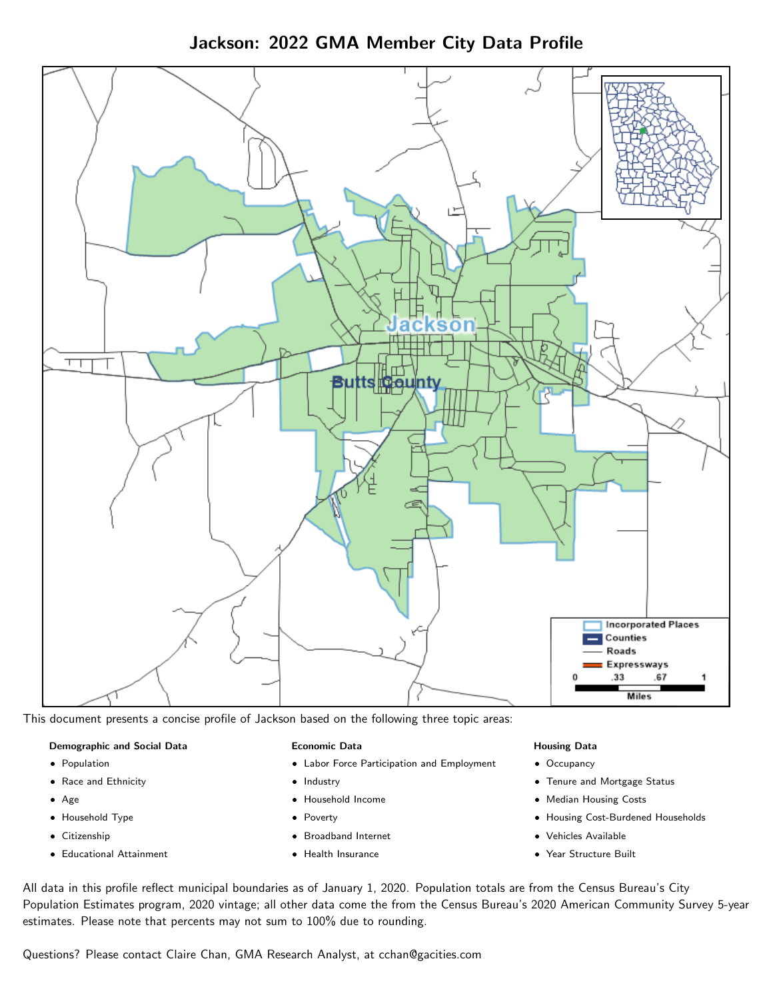Jackson: 2022 GMA Member City Data Profile



This document presents a concise profile of Jackson based on the following three topic areas:

#### Demographic and Social Data

- **•** Population
- Race and Ethnicity
- Age
- Household Type
- **Citizenship**
- Educational Attainment

#### Economic Data

- Labor Force Participation and Employment
- Industry
- Household Income
- Poverty
- Broadband Internet
- Health Insurance

#### Housing Data

- Occupancy
- Tenure and Mortgage Status
- Median Housing Costs
- Housing Cost-Burdened Households
- Vehicles Available
- Year Structure Built

All data in this profile reflect municipal boundaries as of January 1, 2020. Population totals are from the Census Bureau's City Population Estimates program, 2020 vintage; all other data come the from the Census Bureau's 2020 American Community Survey 5-year estimates. Please note that percents may not sum to 100% due to rounding.

Questions? Please contact Claire Chan, GMA Research Analyst, at [cchan@gacities.com.](mailto:cchan@gacities.com)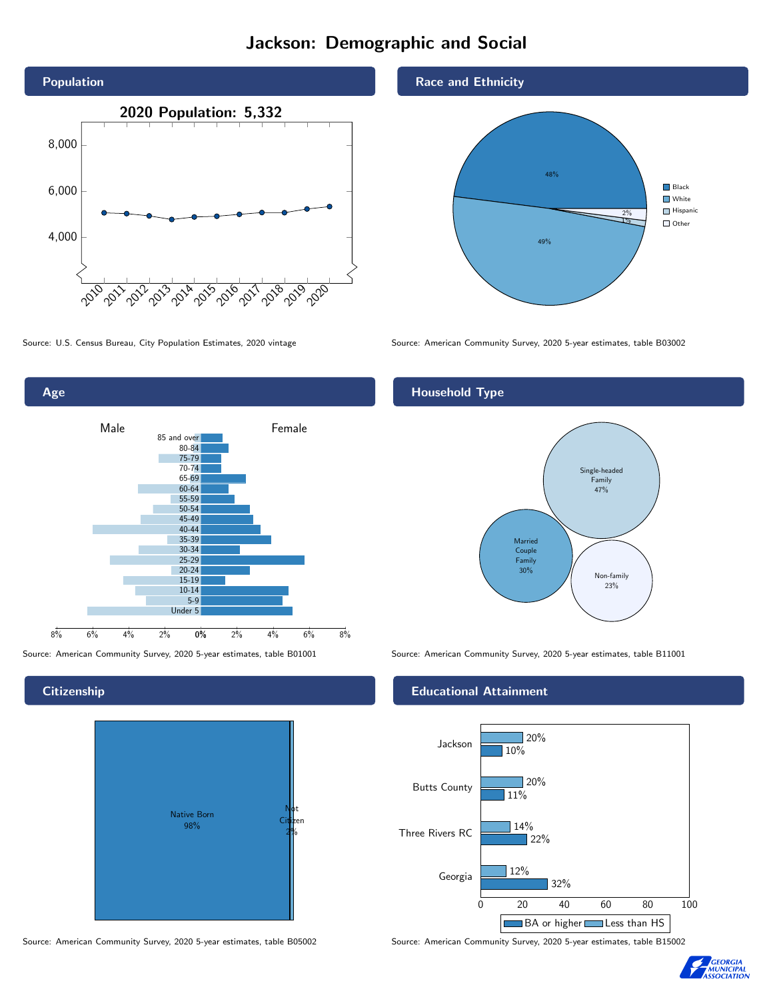# Jackson: Demographic and Social





**Citizenship** 



Source: American Community Survey, 2020 5-year estimates, table B05002 Source: American Community Survey, 2020 5-year estimates, table B15002

Race and Ethnicity



Source: U.S. Census Bureau, City Population Estimates, 2020 vintage Source: American Community Survey, 2020 5-year estimates, table B03002

## Household Type



Source: American Community Survey, 2020 5-year estimates, table B01001 Source: American Community Survey, 2020 5-year estimates, table B11001

### Educational Attainment



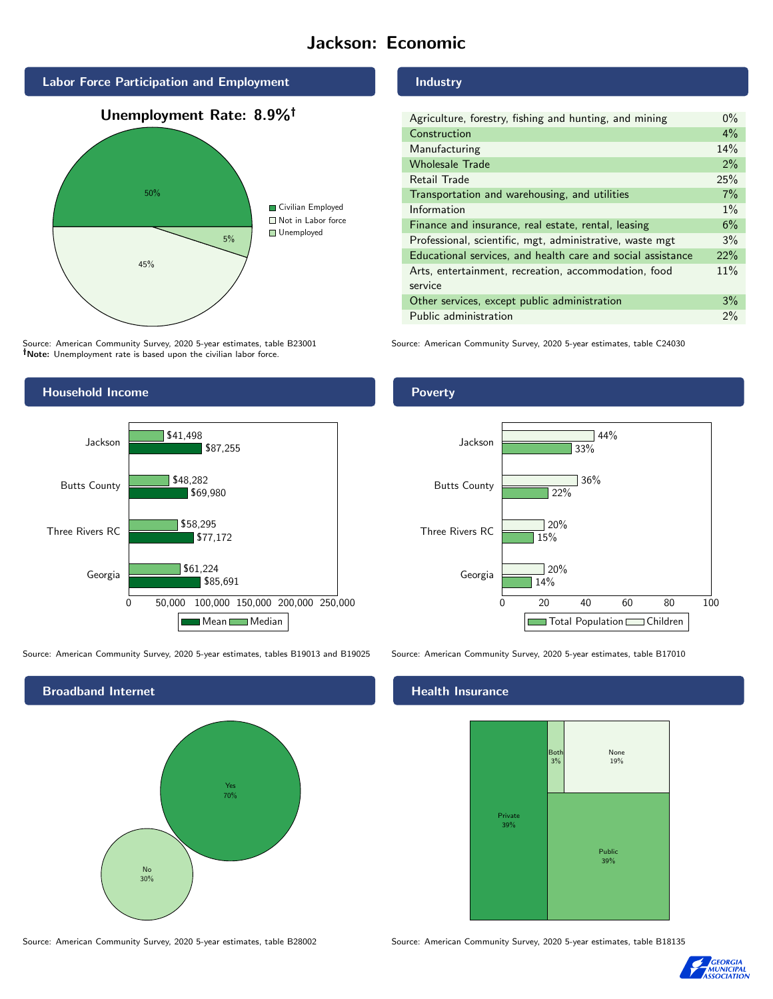# Jackson: Economic



Source: American Community Survey, 2020 5-year estimates, table B23001 Note: Unemployment rate is based upon the civilian labor force.

# Household Income



Source: American Community Survey, 2020 5-year estimates, tables B19013 and B19025 Source: American Community Survey, 2020 5-year estimates, table B17010



Source: American Community Survey, 2020 5-year estimates, table B28002 Source: American Community Survey, 2020 5-year estimates, table B18135

#### Industry

| Agriculture, forestry, fishing and hunting, and mining      | $0\%$ |
|-------------------------------------------------------------|-------|
| Construction                                                | 4%    |
| Manufacturing                                               | 14%   |
| <b>Wholesale Trade</b>                                      | 2%    |
| Retail Trade                                                | 25%   |
| Transportation and warehousing, and utilities               | 7%    |
| Information                                                 | $1\%$ |
| Finance and insurance, real estate, rental, leasing         | 6%    |
| Professional, scientific, mgt, administrative, waste mgt    | 3%    |
| Educational services, and health care and social assistance | 22%   |
| Arts, entertainment, recreation, accommodation, food        | 11%   |
| service                                                     |       |
| Other services, except public administration                | 3%    |
| Public administration                                       | 2%    |

Source: American Community Survey, 2020 5-year estimates, table C24030

## Poverty



# **Health Insurance**